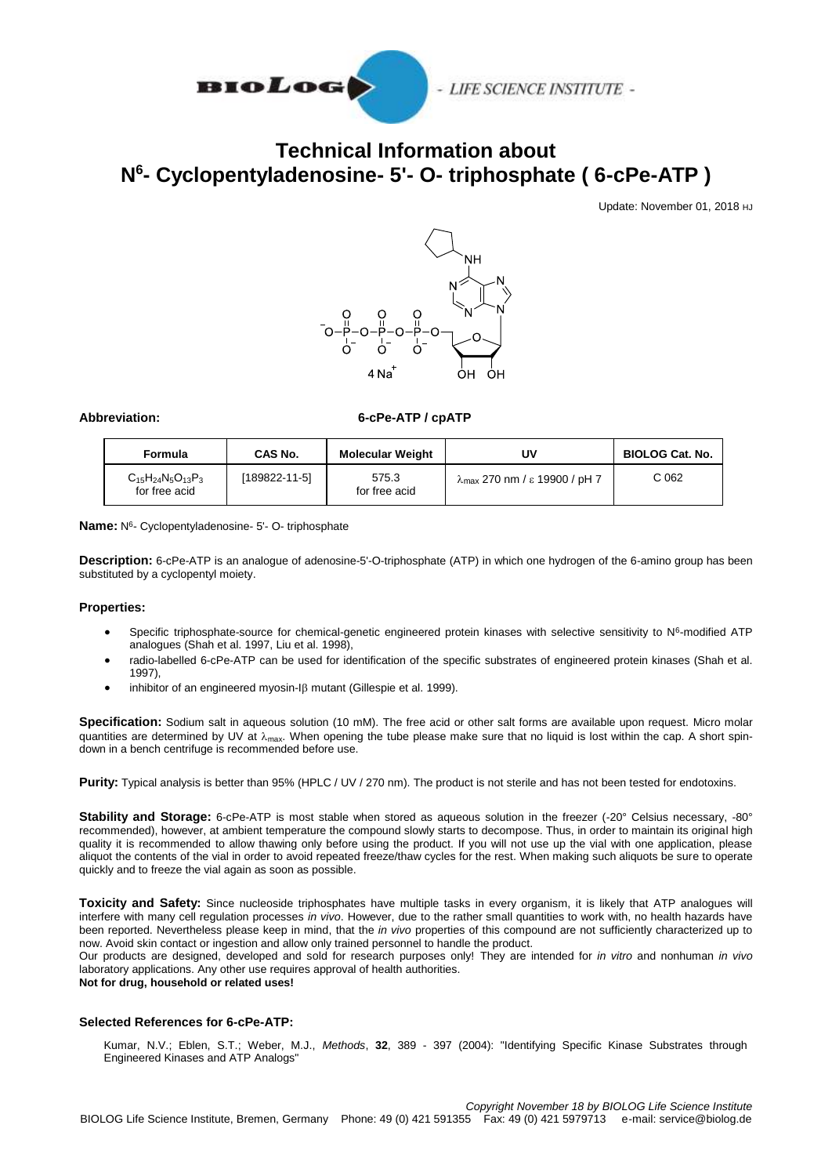

# **Technical Information about N 6 - Cyclopentyladenosine- 5'- O- triphosphate ( 6-cPe-ATP )**

Update: November 01, 2018 HJ



### **Abbreviation: 6-cPe-ATP / cpATP**

| <b>Formula</b>                              | CAS No.             | <b>Molecular Weight</b> | UV                                             | <b>BIOLOG Cat. No.</b> |
|---------------------------------------------|---------------------|-------------------------|------------------------------------------------|------------------------|
| $C_{15}H_{24}N_5O_{13}P_3$<br>for free acid | $[189822 - 11 - 5]$ | 575.3<br>for free acid  | $\lambda_{\text{max}}$ 270 nm / ε 19900 / pH 7 | C 062                  |

Name: N<sup>6</sup>- Cyclopentyladenosine- 5'- O- triphosphate

**Description:** 6-cPe-ATP is an analogue of adenosine-5'-O-triphosphate (ATP) in which one hydrogen of the 6-amino group has been substituted by a cyclopentyl moiety.

### **Properties:**

- Specific triphosphate-source for chemical-genetic engineered protein kinases with selective sensitivity to  $N^6$ -modified ATP analogues (Shah et al. 1997, Liu et al. 1998),
- radio-labelled 6-cPe-ATP can be used for identification of the specific substrates of engineered protein kinases (Shah et al. 1997),
- $\bullet$  inhibitor of an engineered myosin-I $\beta$  mutant (Gillespie et al. 1999).

**Specification:** Sodium salt in aqueous solution (10 mM). The free acid or other salt forms are available upon request. Micro molar quantities are determined by UV at  $\lambda_{\text{max}}$ . When opening the tube please make sure that no liquid is lost within the cap. A short spindown in a bench centrifuge is recommended before use.

**Purity:** Typical analysis is better than 95% (HPLC / UV / 270 nm). The product is not sterile and has not been tested for endotoxins.

**Stability and Storage:** 6-cPe-ATP is most stable when stored as aqueous solution in the freezer (-20° Celsius necessary, -80° recommended), however, at ambient temperature the compound slowly starts to decompose. Thus, in order to maintain its original high quality it is recommended to allow thawing only before using the product. If you will not use up the vial with one application, please aliquot the contents of the vial in order to avoid repeated freeze/thaw cycles for the rest. When making such aliquots be sure to operate quickly and to freeze the vial again as soon as possible.

**Toxicity and Safety:** Since nucleoside triphosphates have multiple tasks in every organism, it is likely that ATP analogues will interfere with many cell regulation processes *in vivo*. However, due to the rather small quantities to work with, no health hazards have been reported. Nevertheless please keep in mind, that the *in vivo* properties of this compound are not sufficiently characterized up to now. Avoid skin contact or ingestion and allow only trained personnel to handle the product.

Our products are designed, developed and sold for research purposes only! They are intended for *in vitro* and nonhuman *in vivo* laboratory applications. Any other use requires approval of health authorities. **Not for drug, household or related uses!**

### **Selected References for 6-cPe-ATP:**

Kumar, N.V.; Eblen, S.T.; Weber, M.J., *Methods*, **32**, 389 - 397 (2004): "Identifying Specific Kinase Substrates through Engineered Kinases and ATP Analogs"